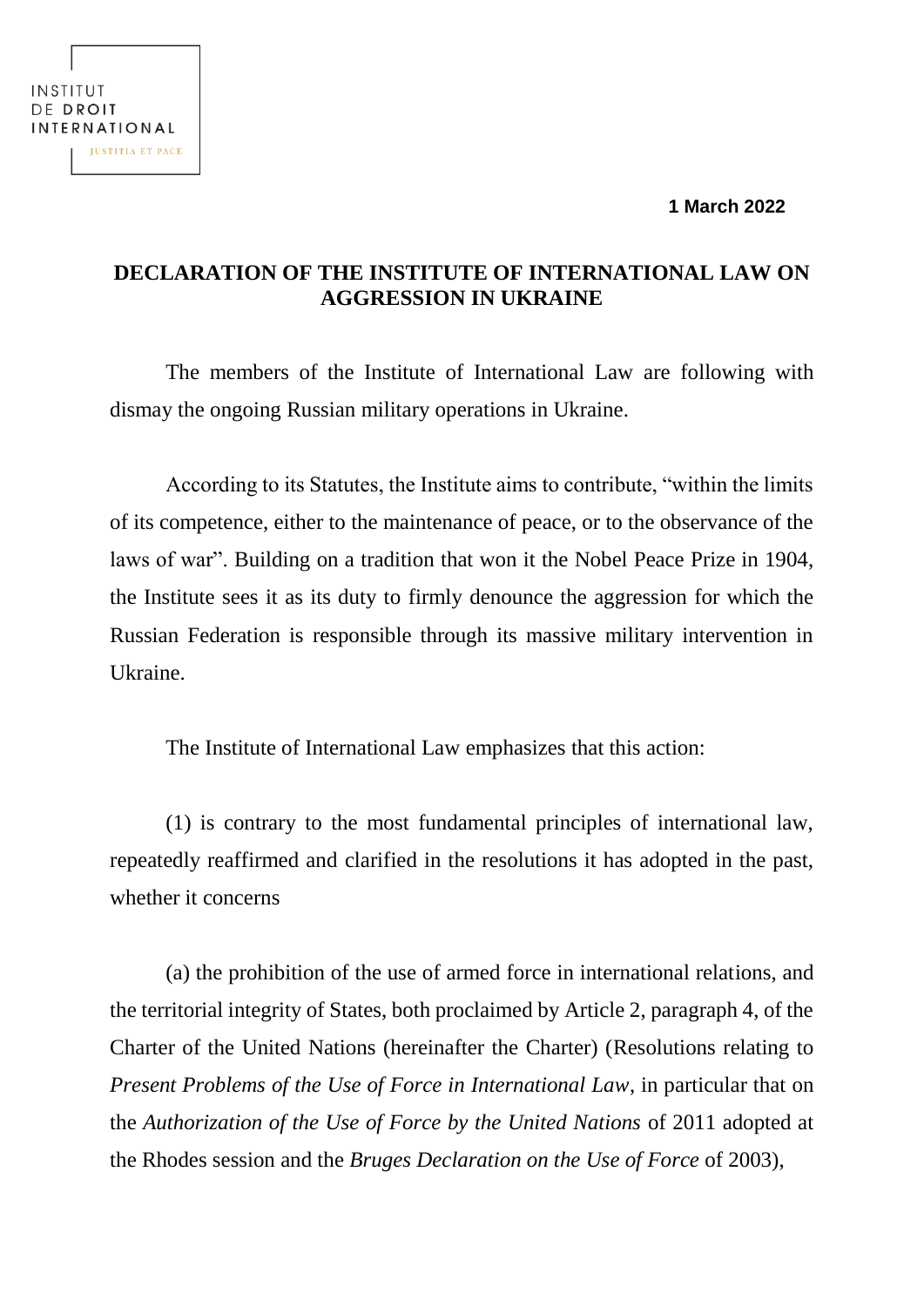**1 March 2022**

## INSTITUT DE DROIT INTERNATIONAL **JUSTITIA ET PACE**

## **DECLARATION OF THE INSTITUTE OF INTERNATIONAL LAW ON AGGRESSION IN UKRAINE**

The members of the Institute of International Law are following with dismay the ongoing Russian military operations in Ukraine.

According to its Statutes, the Institute aims to contribute, "within the limits of its competence, either to the maintenance of peace, or to the observance of the laws of war". Building on a tradition that won it the Nobel Peace Prize in 1904, the Institute sees it as its duty to firmly denounce the aggression for which the Russian Federation is responsible through its massive military intervention in Ukraine.

The Institute of International Law emphasizes that this action:

(1) is contrary to the most fundamental principles of international law, repeatedly reaffirmed and clarified in the resolutions it has adopted in the past, whether it concerns

(a) the prohibition of the use of armed force in international relations, and the territorial integrity of States, both proclaimed by Article 2, paragraph 4, of the Charter of the United Nations (hereinafter the Charter) (Resolutions relating to *Present Problems of the Use of Force in International Law*, in particular that on the *Authorization of the Use of Force by the United Nations* of 2011 adopted at the Rhodes session and the *Bruges Declaration on the Use of Force* of 2003),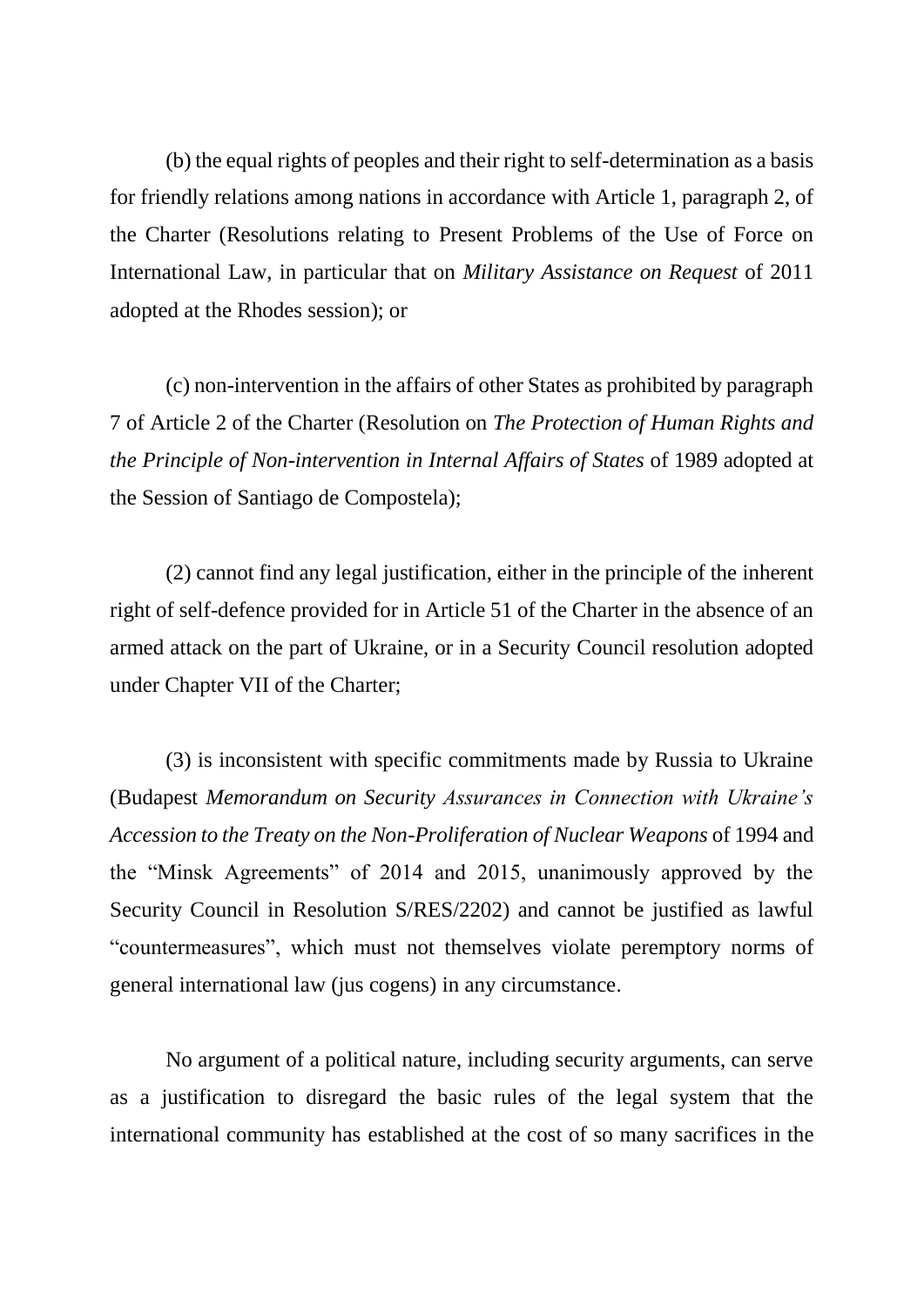(b) the equal rights of peoples and their right to self-determination as a basis for friendly relations among nations in accordance with Article 1, paragraph 2, of the Charter (Resolutions relating to Present Problems of the Use of Force on International Law, in particular that on *Military Assistance on Request* of 2011 adopted at the Rhodes session); or

(c) non-intervention in the affairs of other States as prohibited by paragraph 7 of Article 2 of the Charter (Resolution on *The Protection of Human Rights and the Principle of Non-intervention in Internal Affairs of States* of 1989 adopted at the Session of Santiago de Compostela);

(2) cannot find any legal justification, either in the principle of the inherent right of self-defence provided for in Article 51 of the Charter in the absence of an armed attack on the part of Ukraine, or in a Security Council resolution adopted under Chapter VII of the Charter;

(3) is inconsistent with specific commitments made by Russia to Ukraine (Budapest *Memorandum on Security Assurances in Connection with Ukraine's Accession to the Treaty on the Non-Proliferation of Nuclear Weapons* of 1994 and the "Minsk Agreements" of 2014 and 2015, unanimously approved by the Security Council in Resolution S/RES/2202) and cannot be justified as lawful "countermeasures", which must not themselves violate peremptory norms of general international law (jus cogens) in any circumstance.

No argument of a political nature, including security arguments, can serve as a justification to disregard the basic rules of the legal system that the international community has established at the cost of so many sacrifices in the